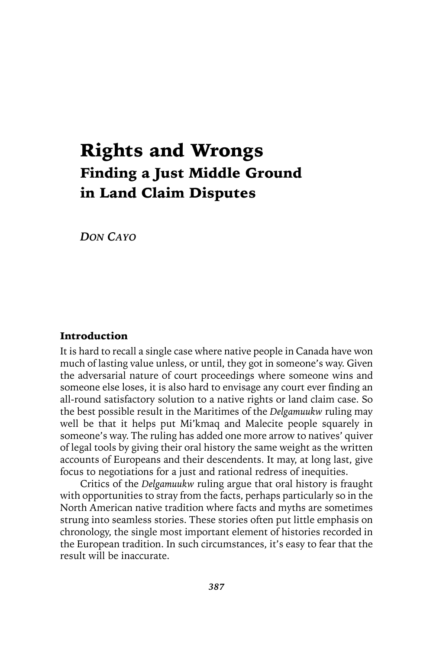## Rights and Wrongs Finding a Just Middle Ground in Land Claim Disputes

*DON CAYO*

## Introduction

It is hard to recall a single case where native people in Canada have won much of lasting value unless, or until, they got in someone's way. Given the adversarial nature of court proceedings where someone wins and someone else loses, it is also hard to envisage any court ever finding an all-round satisfactory solution to a native rights or land claim case. So the best possible result in the Maritimes of the *Delgamuukw* ruling may well be that it helps put Mi'kmaq and Malecite people squarely in someone's way. The ruling has added one more arrow to natives' quiver of legal tools by giving their oral history the same weight as the written accounts of Europeans and their descendents. It may, at long last, give focus to negotiations for a just and rational redress of inequities.

Critics of the *Delgamuukw* ruling argue that oral history is fraught with opportunities to stray from the facts, perhaps particularly so in the North American native tradition where facts and myths are sometimes strung into seamless stories. These stories often put little emphasis on chronology, the single most important element of histories recorded in the European tradition. In such circumstances, it's easy to fear that the result will be inaccurate.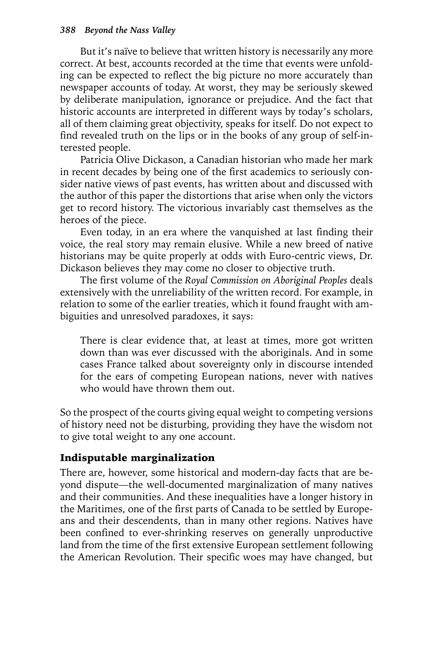But it's naïve to believe that written history is necessarily any more correct. At best, accounts recorded at the time that events were unfolding can be expected to reflect the big picture no more accurately than newspaper accounts of today. At worst, they may be seriously skewed by deliberate manipulation, ignorance or prejudice. And the fact that historic accounts are interpreted in different ways by today's scholars, all of them claiming great objectivity, speaks for itself. Do not expect to find revealed truth on the lips or in the books of any group of self-interested people.

Patricia Olive Dickason, a Canadian historian who made her mark in recent decades by being one of the first academics to seriously consider native views of past events, has written about and discussed with the author of this paper the distortions that arise when only the victors get to record history. The victorious invariably cast themselves as the heroes of the piece.

Even today, in an era where the vanquished at last finding their voice, the real story may remain elusive. While a new breed of native historians may be quite properly at odds with Euro-centric views, Dr. Dickason believes they may come no closer to objective truth.

The first volume of the *Royal Commission on Aboriginal Peoples* deals extensively with the unreliability of the written record. For example, in relation to some of the earlier treaties, which it found fraught with ambiguities and unresolved paradoxes, it says:

There is clear evidence that, at least at times, more got written down than was ever discussed with the aboriginals. And in some cases France talked about sovereignty only in discourse intended for the ears of competing European nations, never with natives who would have thrown them out.

So the prospect of the courts giving equal weight to competing versions of history need not be disturbing, providing they have the wisdom not to give total weight to any one account.

## Indisputable marginalization

There are, however, some historical and modern-day facts that are beyond dispute—the well-documented marginalization of many natives and their communities. And these inequalities have a longer history in the Maritimes, one of the first parts of Canada to be settled by Europeans and their descendents, than in many other regions. Natives have been confined to ever-shrinking reserves on generally unproductive land from the time of the first extensive European settlement following the American Revolution. Their specific woes may have changed, but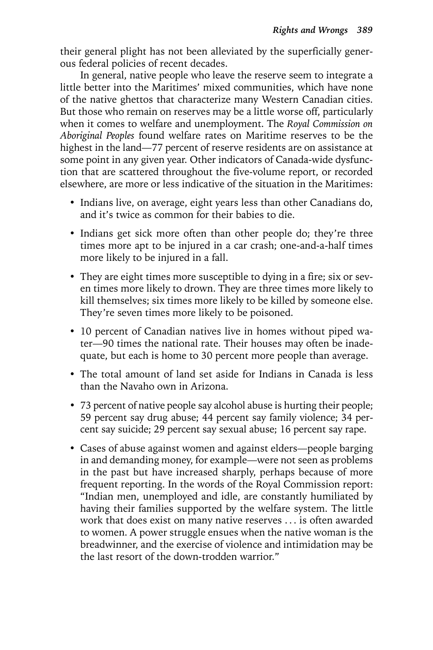their general plight has not been alleviated by the superficially generous federal policies of recent decades.

In general, native people who leave the reserve seem to integrate a little better into the Maritimes' mixed communities, which have none of the native ghettos that characterize many Western Canadian cities. But those who remain on reserves may be a little worse off, particularly when it comes to welfare and unemployment. The *Royal Commission on Aboriginal Peoples* found welfare rates on Maritime reserves to be the highest in the land—77 percent of reserve residents are on assistance at some point in any given year. Other indicators of Canada-wide dysfunction that are scattered throughout the five-volume report, or recorded elsewhere, are more or less indicative of the situation in the Maritimes:

- Indians live, on average, eight years less than other Canadians do, and it's twice as common for their babies to die.
- Indians get sick more often than other people do; they're three times more apt to be injured in a car crash; one-and-a-half times more likely to be injured in a fall.
- They are eight times more susceptible to dying in a fire; six or seven times more likely to drown. They are three times more likely to kill themselves; six times more likely to be killed by someone else. They're seven times more likely to be poisoned.
- 10 percent of Canadian natives live in homes without piped water—90 times the national rate. Their houses may often be inadequate, but each is home to 30 percent more people than average.
- The total amount of land set aside for Indians in Canada is less than the Navaho own in Arizona.
- 73 percent of native people say alcohol abuse is hurting their people; 59 percent say drug abuse; 44 percent say family violence; 34 percent say suicide; 29 percent say sexual abuse; 16 percent say rape.
- Cases of abuse against women and against elders—people barging in and demanding money, for example—were not seen as problems in the past but have increased sharply, perhaps because of more frequent reporting. In the words of the Royal Commission report: "Indian men, unemployed and idle, are constantly humiliated by having their families supported by the welfare system. The little work that does exist on many native reserves . . . is often awarded to women. A power struggle ensues when the native woman is the breadwinner, and the exercise of violence and intimidation may be the last resort of the down-trodden warrior."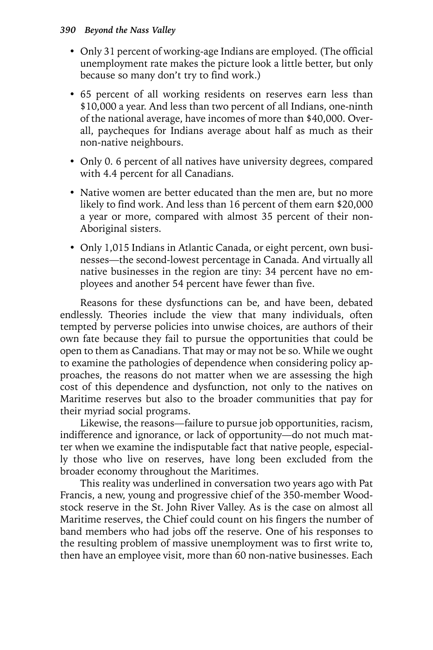- Only 31 percent of working-age Indians are employed. (The official unemployment rate makes the picture look a little better, but only because so many don't try to find work.)
- 65 percent of all working residents on reserves earn less than \$10,000 a year. And less than two percent of all Indians, one-ninth of the national average, have incomes of more than \$40,000. Overall, paycheques for Indians average about half as much as their non-native neighbours.
- Only 0. 6 percent of all natives have university degrees, compared with 4.4 percent for all Canadians.
- Native women are better educated than the men are, but no more likely to find work. And less than 16 percent of them earn \$20,000 a year or more, compared with almost 35 percent of their non-Aboriginal sisters.
- Only 1,015 Indians in Atlantic Canada, or eight percent, own businesses—the second-lowest percentage in Canada. And virtually all native businesses in the region are tiny: 34 percent have no employees and another 54 percent have fewer than five.

Reasons for these dysfunctions can be, and have been, debated endlessly. Theories include the view that many individuals, often tempted by perverse policies into unwise choices, are authors of their own fate because they fail to pursue the opportunities that could be open to them as Canadians. That may or may not be so. While we ought to examine the pathologies of dependence when considering policy approaches, the reasons do not matter when we are assessing the high cost of this dependence and dysfunction, not only to the natives on Maritime reserves but also to the broader communities that pay for their myriad social programs.

Likewise, the reasons—failure to pursue job opportunities, racism, indifference and ignorance, or lack of opportunity—do not much matter when we examine the indisputable fact that native people, especially those who live on reserves, have long been excluded from the broader economy throughout the Maritimes.

This reality was underlined in conversation two years ago with Pat Francis, a new, young and progressive chief of the 350-member Woodstock reserve in the St. John River Valley. As is the case on almost all Maritime reserves, the Chief could count on his fingers the number of band members who had jobs off the reserve. One of his responses to the resulting problem of massive unemployment was to first write to, then have an employee visit, more than 60 non-native businesses. Each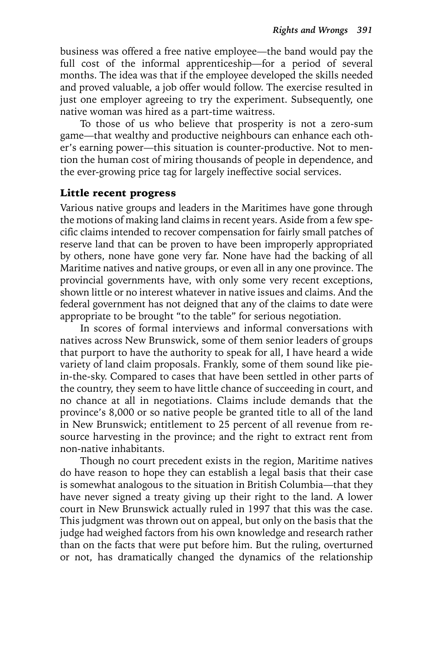business was offered a free native employee—the band would pay the full cost of the informal apprenticeship—for a period of several months. The idea was that if the employee developed the skills needed and proved valuable, a job offer would follow. The exercise resulted in just one employer agreeing to try the experiment. Subsequently, one native woman was hired as a part-time waitress.

To those of us who believe that prosperity is not a zero-sum game—that wealthy and productive neighbours can enhance each other's earning power—this situation is counter-productive. Not to mention the human cost of miring thousands of people in dependence, and the ever-growing price tag for largely ineffective social services.

## Little recent progress

Various native groups and leaders in the Maritimes have gone through the motions of making land claims in recent years. Aside from a few specific claims intended to recover compensation for fairly small patches of reserve land that can be proven to have been improperly appropriated by others, none have gone very far. None have had the backing of all Maritime natives and native groups, or even all in any one province. The provincial governments have, with only some very recent exceptions, shown little or no interest whatever in native issues and claims. And the federal government has not deigned that any of the claims to date were appropriate to be brought "to the table" for serious negotiation.

In scores of formal interviews and informal conversations with natives across New Brunswick, some of them senior leaders of groups that purport to have the authority to speak for all, I have heard a wide variety of land claim proposals. Frankly, some of them sound like piein-the-sky. Compared to cases that have been settled in other parts of the country, they seem to have little chance of succeeding in court, and no chance at all in negotiations. Claims include demands that the province's 8,000 or so native people be granted title to all of the land in New Brunswick; entitlement to 25 percent of all revenue from resource harvesting in the province; and the right to extract rent from non-native inhabitants.

Though no court precedent exists in the region, Maritime natives do have reason to hope they can establish a legal basis that their case is somewhat analogous to the situation in British Columbia—that they have never signed a treaty giving up their right to the land. A lower court in New Brunswick actually ruled in 1997 that this was the case. This judgment was thrown out on appeal, but only on the basis that the judge had weighed factors from his own knowledge and research rather than on the facts that were put before him. But the ruling, overturned or not, has dramatically changed the dynamics of the relationship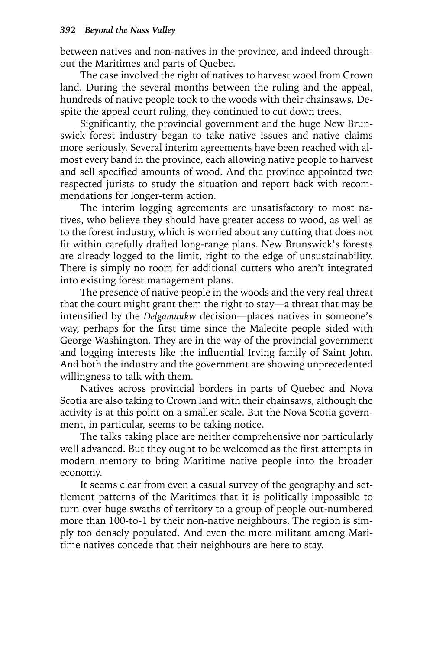between natives and non-natives in the province, and indeed throughout the Maritimes and parts of Quebec.

The case involved the right of natives to harvest wood from Crown land. During the several months between the ruling and the appeal, hundreds of native people took to the woods with their chainsaws. Despite the appeal court ruling, they continued to cut down trees.

Significantly, the provincial government and the huge New Brunswick forest industry began to take native issues and native claims more seriously. Several interim agreements have been reached with almost every band in the province, each allowing native people to harvest and sell specified amounts of wood. And the province appointed two respected jurists to study the situation and report back with recommendations for longer-term action.

The interim logging agreements are unsatisfactory to most natives, who believe they should have greater access to wood, as well as to the forest industry, which is worried about any cutting that does not fit within carefully drafted long-range plans. New Brunswick's forests are already logged to the limit, right to the edge of unsustainability. There is simply no room for additional cutters who aren't integrated into existing forest management plans.

The presence of native people in the woods and the very real threat that the court might grant them the right to stay—a threat that may be intensified by the *Delgamuukw* decision—places natives in someone's way, perhaps for the first time since the Malecite people sided with George Washington. They are in the way of the provincial government and logging interests like the influential Irving family of Saint John. And both the industry and the government are showing unprecedented willingness to talk with them.

Natives across provincial borders in parts of Quebec and Nova Scotia are also taking to Crown land with their chainsaws, although the activity is at this point on a smaller scale. But the Nova Scotia government, in particular, seems to be taking notice.

The talks taking place are neither comprehensive nor particularly well advanced. But they ought to be welcomed as the first attempts in modern memory to bring Maritime native people into the broader economy.

It seems clear from even a casual survey of the geography and settlement patterns of the Maritimes that it is politically impossible to turn over huge swaths of territory to a group of people out-numbered more than 100-to-1 by their non-native neighbours. The region is simply too densely populated. And even the more militant among Maritime natives concede that their neighbours are here to stay.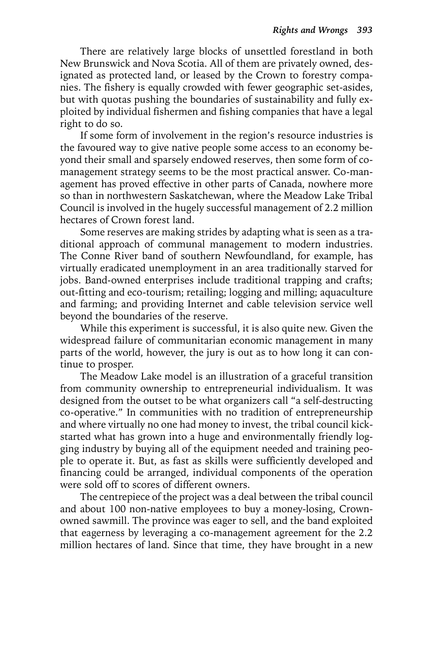There are relatively large blocks of unsettled forestland in both New Brunswick and Nova Scotia. All of them are privately owned, designated as protected land, or leased by the Crown to forestry companies. The fishery is equally crowded with fewer geographic set-asides, but with quotas pushing the boundaries of sustainability and fully exploited by individual fishermen and fishing companies that have a legal right to do so.

If some form of involvement in the region's resource industries is the favoured way to give native people some access to an economy beyond their small and sparsely endowed reserves, then some form of comanagement strategy seems to be the most practical answer. Co-management has proved effective in other parts of Canada, nowhere more so than in northwestern Saskatchewan, where the Meadow Lake Tribal Council is involved in the hugely successful management of 2.2 million hectares of Crown forest land.

Some reserves are making strides by adapting what is seen as a traditional approach of communal management to modern industries. The Conne River band of southern Newfoundland, for example, has virtually eradicated unemployment in an area traditionally starved for jobs. Band-owned enterprises include traditional trapping and crafts; out-fitting and eco-tourism; retailing; logging and milling; aquaculture and farming; and providing Internet and cable television service well beyond the boundaries of the reserve.

While this experiment is successful, it is also quite new. Given the widespread failure of communitarian economic management in many parts of the world, however, the jury is out as to how long it can continue to prosper.

The Meadow Lake model is an illustration of a graceful transition from community ownership to entrepreneurial individualism. It was designed from the outset to be what organizers call "a self-destructing co-operative." In communities with no tradition of entrepreneurship and where virtually no one had money to invest, the tribal council kickstarted what has grown into a huge and environmentally friendly logging industry by buying all of the equipment needed and training people to operate it. But, as fast as skills were sufficiently developed and financing could be arranged, individual components of the operation were sold off to scores of different owners.

The centrepiece of the project was a deal between the tribal council and about 100 non-native employees to buy a money-losing, Crownowned sawmill. The province was eager to sell, and the band exploited that eagerness by leveraging a co-management agreement for the 2.2 million hectares of land. Since that time, they have brought in a new